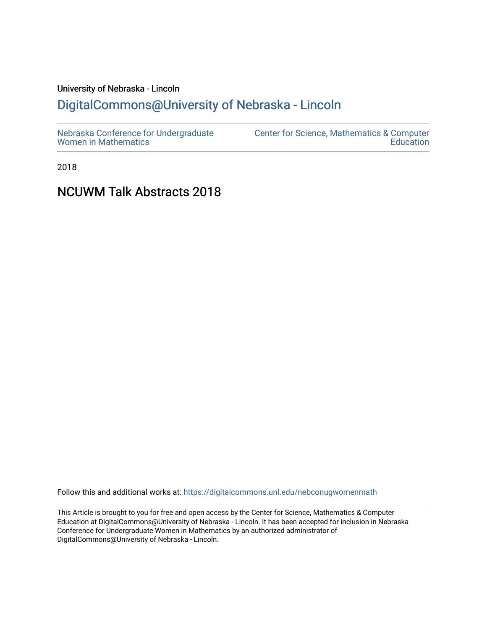## University of Nebraska - Lincoln [DigitalCommons@University of Nebraska - Lincoln](https://digitalcommons.unl.edu/)

2018

# NCUWM Talk Abstracts 2018

Follow this and additional works at: [https://digitalcommons.unl.edu/nebconugwomenmath](https://digitalcommons.unl.edu/nebconugwomenmath?utm_source=digitalcommons.unl.edu%2Fnebconugwomenmath%2F6&utm_medium=PDF&utm_campaign=PDFCoverPages)

This Article is brought to you for free and open access by the Center for Science, Mathematics & Computer Education at DigitalCommons@University of Nebraska - Lincoln. It has been accepted for inclusion in Nebraska Conference for Undergraduate Women in Mathematics by an authorized administrator of DigitalCommons@University of Nebraska - Lincoln.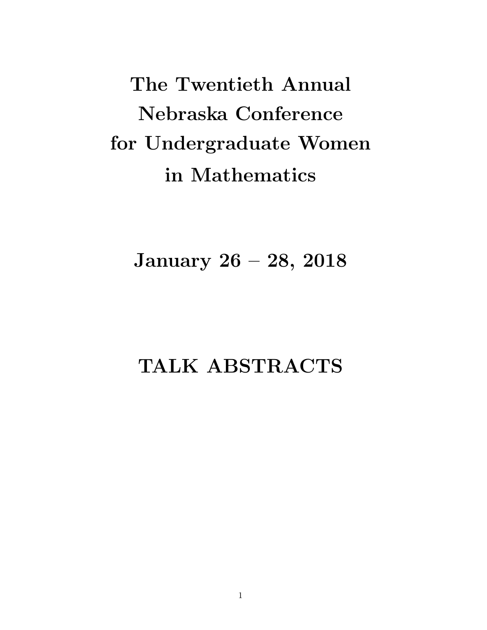The Twentieth Annual Nebraska Conference for Undergraduate Women in Mathematics

January 26 – 28, 2018

# TALK ABSTRACTS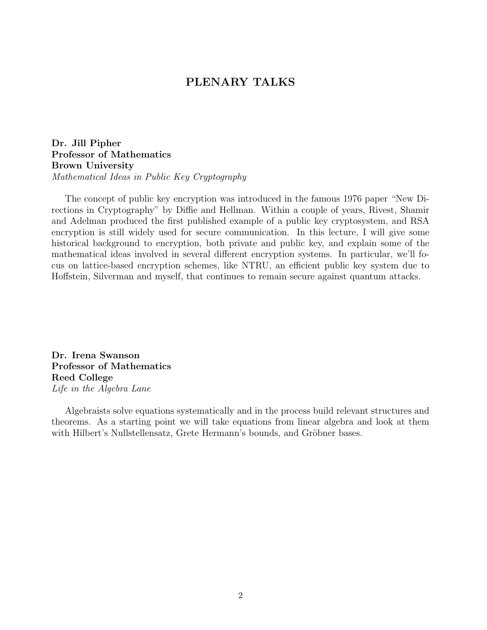## PLENARY TALKS

Dr. Jill Pipher Professor of Mathematics Brown University Mathematical Ideas in Public Key Cryptography

The concept of public key encryption was introduced in the famous 1976 paper "New Directions in Cryptography" by Diffie and Hellman. Within a couple of years, Rivest, Shamir and Adelman produced the first published example of a public key cryptosystem, and RSA encryption is still widely used for secure communication. In this lecture, I will give some historical background to encryption, both private and public key, and explain some of the mathematical ideas involved in several different encryption systems. In particular, we'll focus on lattice-based encryption schemes, like NTRU, an efficient public key system due to Hoffstein, Silverman and myself, that continues to remain secure against quantum attacks.

Dr. Irena Swanson Professor of Mathematics Reed College Life in the Algebra Lane

Algebraists solve equations systematically and in the process build relevant structures and theorems. As a starting point we will take equations from linear algebra and look at them with Hilbert's Nullstellensatz, Grete Hermann's bounds, and Gröbner bases.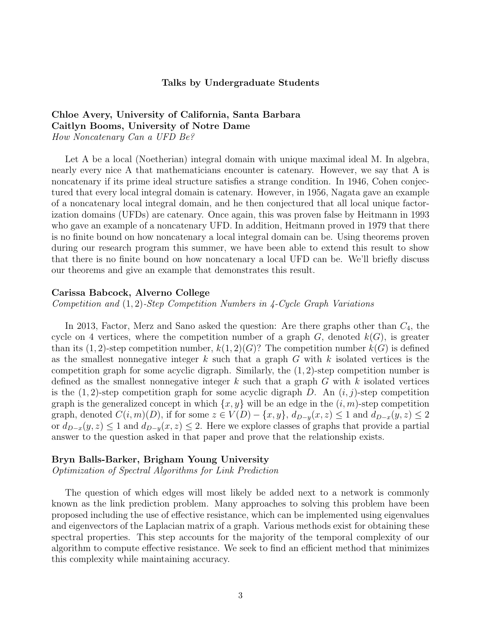#### Talks by Undergraduate Students

## Chloe Avery, University of California, Santa Barbara Caitlyn Booms, University of Notre Dame

How Noncatenary Can a UFD Be?

Let A be a local (Noetherian) integral domain with unique maximal ideal M. In algebra, nearly every nice A that mathematicians encounter is catenary. However, we say that A is noncatenary if its prime ideal structure satisfies a strange condition. In 1946, Cohen conjectured that every local integral domain is catenary. However, in 1956, Nagata gave an example of a noncatenary local integral domain, and he then conjectured that all local unique factorization domains (UFDs) are catenary. Once again, this was proven false by Heitmann in 1993 who gave an example of a noncatenary UFD. In addition, Heitmann proved in 1979 that there is no finite bound on how noncatenary a local integral domain can be. Using theorems proven during our research program this summer, we have been able to extend this result to show that there is no finite bound on how noncatenary a local UFD can be. We'll briefly discuss our theorems and give an example that demonstrates this result.

#### Carissa Babcock, Alverno College

Competition and (1, 2)-Step Competition Numbers in 4-Cycle Graph Variations

In 2013, Factor, Merz and Sano asked the question: Are there graphs other than  $C_4$ , the cycle on 4 vertices, where the competition number of a graph  $G$ , denoted  $k(G)$ , is greater than its  $(1, 2)$ -step competition number,  $k(1, 2)(G)$ ? The competition number  $k(G)$  is defined as the smallest nonnegative integer k such that a graph  $G$  with k isolated vertices is the competition graph for some acyclic digraph. Similarly, the  $(1, 2)$ -step competition number is defined as the smallest nonnegative integer k such that a graph G with k isolated vertices is the  $(1, 2)$ -step competition graph for some acyclic digraph D. An  $(i, j)$ -step competition graph is the generalized concept in which  $\{x, y\}$  will be an edge in the  $(i, m)$ -step competition graph, denoted  $C(i, m)(D)$ , if for some  $z \in V(D) - \{x, y\}$ ,  $d_{D-y}(x, z) \le 1$  and  $d_{D-x}(y, z) \le 2$ or  $d_{D-x}(y, z) \leq 1$  and  $d_{D-y}(x, z) \leq 2$ . Here we explore classes of graphs that provide a partial answer to the question asked in that paper and prove that the relationship exists.

#### Bryn Balls-Barker, Brigham Young University

Optimization of Spectral Algorithms for Link Prediction

The question of which edges will most likely be added next to a network is commonly known as the link prediction problem. Many approaches to solving this problem have been proposed including the use of effective resistance, which can be implemented using eigenvalues and eigenvectors of the Laplacian matrix of a graph. Various methods exist for obtaining these spectral properties. This step accounts for the majority of the temporal complexity of our algorithm to compute effective resistance. We seek to find an efficient method that minimizes this complexity while maintaining accuracy.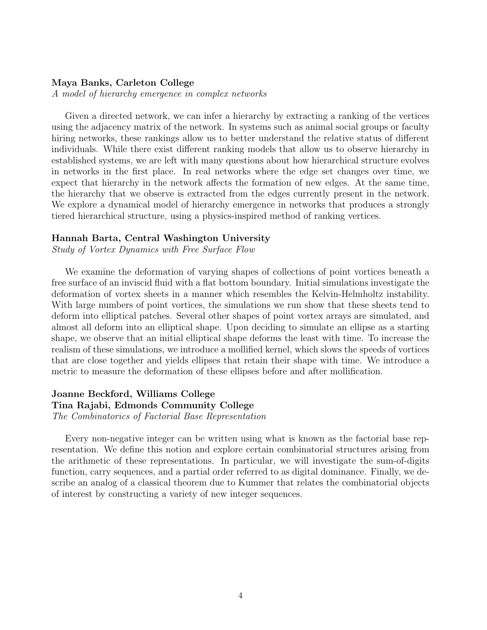#### Maya Banks, Carleton College

A model of hierarchy emergence in complex networks

Given a directed network, we can infer a hierarchy by extracting a ranking of the vertices using the adjacency matrix of the network. In systems such as animal social groups or faculty hiring networks, these rankings allow us to better understand the relative status of different individuals. While there exist different ranking models that allow us to observe hierarchy in established systems, we are left with many questions about how hierarchical structure evolves in networks in the first place. In real networks where the edge set changes over time, we expect that hierarchy in the network affects the formation of new edges. At the same time, the hierarchy that we observe is extracted from the edges currently present in the network. We explore a dynamical model of hierarchy emergence in networks that produces a strongly tiered hierarchical structure, using a physics-inspired method of ranking vertices.

#### Hannah Barta, Central Washington University

Study of Vortex Dynamics with Free Surface Flow

We examine the deformation of varying shapes of collections of point vortices beneath a free surface of an inviscid fluid with a flat bottom boundary. Initial simulations investigate the deformation of vortex sheets in a manner which resembles the Kelvin-Helmholtz instability. With large numbers of point vortices, the simulations we run show that these sheets tend to deform into elliptical patches. Several other shapes of point vortex arrays are simulated, and almost all deform into an elliptical shape. Upon deciding to simulate an ellipse as a starting shape, we observe that an initial elliptical shape deforms the least with time. To increase the realism of these simulations, we introduce a mollified kernel, which slows the speeds of vortices that are close together and yields ellipses that retain their shape with time. We introduce a metric to measure the deformation of these ellipses before and after mollification.

#### Joanne Beckford, Williams College Tina Rajabi, Edmonds Community College The Combinatorics of Factorial Base Representation

Every non-negative integer can be written using what is known as the factorial base representation. We define this notion and explore certain combinatorial structures arising from the arithmetic of these representations. In particular, we will investigate the sum-of-digits function, carry sequences, and a partial order referred to as digital dominance. Finally, we describe an analog of a classical theorem due to Kummer that relates the combinatorial objects of interest by constructing a variety of new integer sequences.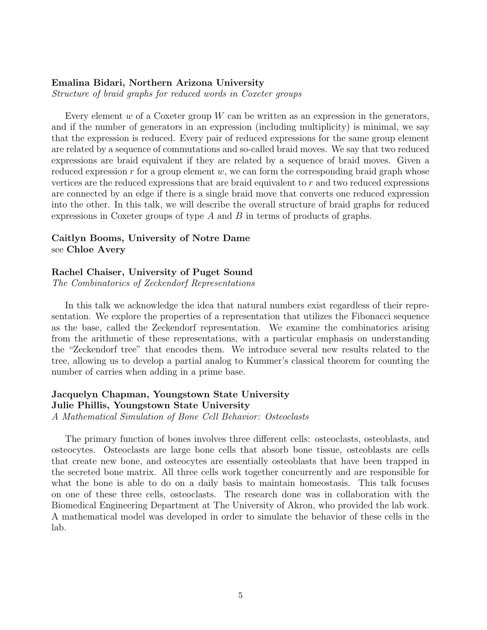#### Emalina Bidari, Northern Arizona University

Structure of braid graphs for reduced words in Coxeter groups

Every element  $w$  of a Coxeter group  $W$  can be written as an expression in the generators, and if the number of generators in an expression (including multiplicity) is minimal, we say that the expression is reduced. Every pair of reduced expressions for the same group element are related by a sequence of commutations and so-called braid moves. We say that two reduced expressions are braid equivalent if they are related by a sequence of braid moves. Given a reduced expression  $r$  for a group element  $w$ , we can form the corresponding braid graph whose vertices are the reduced expressions that are braid equivalent to r and two reduced expressions are connected by an edge if there is a single braid move that converts one reduced expression into the other. In this talk, we will describe the overall structure of braid graphs for reduced expressions in Coxeter groups of type  $A$  and  $B$  in terms of products of graphs.

#### Caitlyn Booms, University of Notre Dame see Chloe Avery

#### Rachel Chaiser, University of Puget Sound

The Combinatorics of Zeckendorf Representations

In this talk we acknowledge the idea that natural numbers exist regardless of their representation. We explore the properties of a representation that utilizes the Fibonacci sequence as the base, called the Zeckendorf representation. We examine the combinatorics arising from the arithmetic of these representations, with a particular emphasis on understanding the "Zeckendorf tree" that encodes them. We introduce several new results related to the tree, allowing us to develop a partial analog to Kummer's classical theorem for counting the number of carries when adding in a prime base.

#### Jacquelyn Chapman, Youngstown State University Julie Phillis, Youngstown State University

A Mathematical Simulation of Bone Cell Behavior: Osteoclasts

The primary function of bones involves three different cells: osteoclasts, osteoblasts, and osteocytes. Osteoclasts are large bone cells that absorb bone tissue, osteoblasts are cells that create new bone, and osteocytes are essentially osteoblasts that have been trapped in the secreted bone matrix. All three cells work together concurrently and are responsible for what the bone is able to do on a daily basis to maintain homeostasis. This talk focuses on one of these three cells, osteoclasts. The research done was in collaboration with the Biomedical Engineering Department at The University of Akron, who provided the lab work. A mathematical model was developed in order to simulate the behavior of these cells in the lab.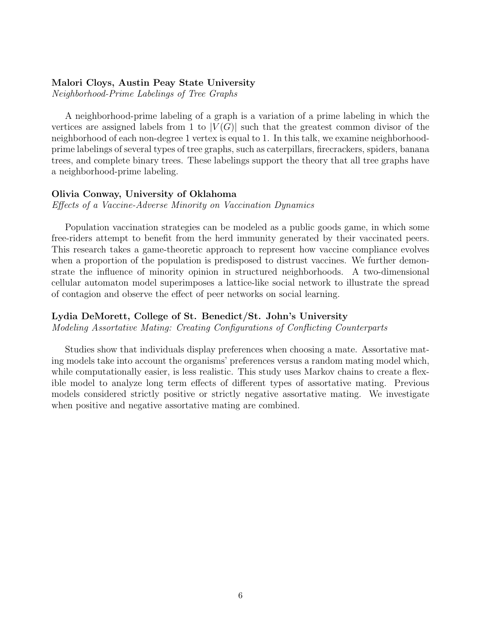#### Malori Cloys, Austin Peay State University

Neighborhood-Prime Labelings of Tree Graphs

A neighborhood-prime labeling of a graph is a variation of a prime labeling in which the vertices are assigned labels from 1 to  $|V(G)|$  such that the greatest common divisor of the neighborhood of each non-degree 1 vertex is equal to 1. In this talk, we examine neighborhoodprime labelings of several types of tree graphs, such as caterpillars, firecrackers, spiders, banana trees, and complete binary trees. These labelings support the theory that all tree graphs have a neighborhood-prime labeling.

#### Olivia Conway, University of Oklahoma

Effects of a Vaccine-Adverse Minority on Vaccination Dynamics

Population vaccination strategies can be modeled as a public goods game, in which some free-riders attempt to benefit from the herd immunity generated by their vaccinated peers. This research takes a game-theoretic approach to represent how vaccine compliance evolves when a proportion of the population is predisposed to distrust vaccines. We further demonstrate the influence of minority opinion in structured neighborhoods. A two-dimensional cellular automaton model superimposes a lattice-like social network to illustrate the spread of contagion and observe the effect of peer networks on social learning.

#### Lydia DeMorett, College of St. Benedict/St. John's University

Modeling Assortative Mating: Creating Configurations of Conflicting Counterparts

Studies show that individuals display preferences when choosing a mate. Assortative mating models take into account the organisms' preferences versus a random mating model which, while computationally easier, is less realistic. This study uses Markov chains to create a flexible model to analyze long term effects of different types of assortative mating. Previous models considered strictly positive or strictly negative assortative mating. We investigate when positive and negative assortative mating are combined.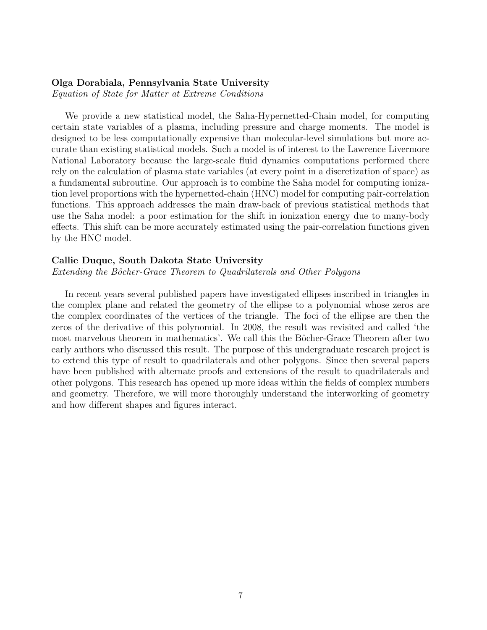#### Olga Dorabiala, Pennsylvania State University

Equation of State for Matter at Extreme Conditions

We provide a new statistical model, the Saha-Hypernetted-Chain model, for computing certain state variables of a plasma, including pressure and charge moments. The model is designed to be less computationally expensive than molecular-level simulations but more accurate than existing statistical models. Such a model is of interest to the Lawrence Livermore National Laboratory because the large-scale fluid dynamics computations performed there rely on the calculation of plasma state variables (at every point in a discretization of space) as a fundamental subroutine. Our approach is to combine the Saha model for computing ionization level proportions with the hypernetted-chain (HNC) model for computing pair-correlation functions. This approach addresses the main draw-back of previous statistical methods that use the Saha model: a poor estimation for the shift in ionization energy due to many-body effects. This shift can be more accurately estimated using the pair-correlation functions given by the HNC model.

#### Callie Duque, South Dakota State University

Extending the Bôcher-Grace Theorem to Quadrilaterals and Other Polygons

In recent years several published papers have investigated ellipses inscribed in triangles in the complex plane and related the geometry of the ellipse to a polynomial whose zeros are the complex coordinates of the vertices of the triangle. The foci of the ellipse are then the zeros of the derivative of this polynomial. In 2008, the result was revisited and called 'the most marvelous theorem in mathematics'. We call this the Bôcher-Grace Theorem after two early authors who discussed this result. The purpose of this undergraduate research project is to extend this type of result to quadrilaterals and other polygons. Since then several papers have been published with alternate proofs and extensions of the result to quadrilaterals and other polygons. This research has opened up more ideas within the fields of complex numbers and geometry. Therefore, we will more thoroughly understand the interworking of geometry and how different shapes and figures interact.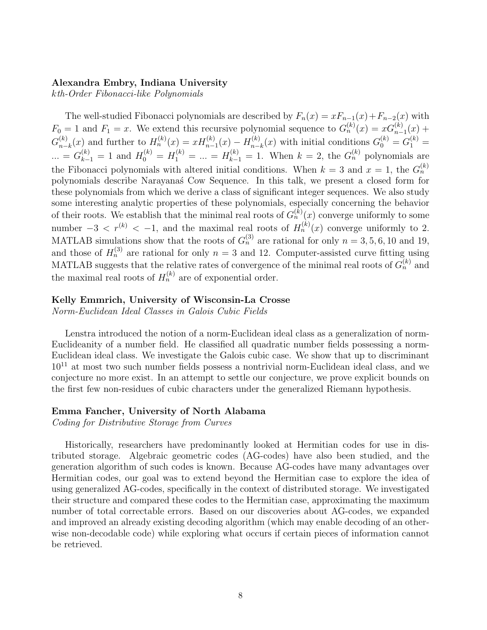#### Alexandra Embry, Indiana University

kth-Order Fibonacci-like Polynomials

The well-studied Fibonacci polynomials are described by  $F_n(x) = xF_{n-1}(x) + F_{n-2}(x)$  with  $F_0 = 1$  and  $F_1 = x$ . We extend this recursive polynomial sequence to  $G_n^{(k)}(x) = xG_{n-1}^{(k)}(x) +$  $G_{n-}^{(k)}$  $H_{n-k}^{(k)}(x)$  and further to  $H_n^{(k)}(x) = xH_{n-1}^{(k)}(x) - H_{n-1}^{(k)}(x)$  $S_{n-k}^{(k)}(x)$  with initial conditions  $G_0^{(k)} = G_1^{(k)} =$  $\ldots = G_{k-1}^{(k)} = 1$  and  $H_0^{(k)} = H_1^{(k)} = \ldots = H_{k-1}^{(k)} = 1$ . When  $k = 2$ , the  $G_n^{(k)}$  polynomials are the Fibonacci polynomials with altered initial conditions. When  $k = 3$  and  $x = 1$ , the  $G_n^{(k)}$ polynomials describe Narayana´s Cow Sequence. In this talk, we present a closed form for these polynomials from which we derive a class of significant integer sequences. We also study some interesting analytic properties of these polynomials, especially concerning the behavior of their roots. We establish that the minimal real roots of  $G_n^{(k)}(x)$  converge uniformly to some number  $-3 < r^{(k)} < -1$ , and the maximal real roots of  $H_n^{(k)}(x)$  converge uniformly to 2. MATLAB simulations show that the roots of  $G_n^{(3)}$  are rational for only  $n = 3, 5, 6, 10$  and 19, and those of  $H_n^{(3)}$  are rational for only  $n = 3$  and 12. Computer-assisted curve fitting using MATLAB suggests that the relative rates of convergence of the minimal real roots of  $G_n^{(k)}$  and the maximal real roots of  $H_n^{(k)}$  are of exponential order.

#### Kelly Emmrich, University of Wisconsin-La Crosse

Norm-Euclidean Ideal Classes in Galois Cubic Fields

Lenstra introduced the notion of a norm-Euclidean ideal class as a generalization of norm-Euclideanity of a number field. He classified all quadratic number fields possessing a norm-Euclidean ideal class. We investigate the Galois cubic case. We show that up to discriminant  $10^{11}$  at most two such number fields possess a nontrivial norm-Euclidean ideal class, and we conjecture no more exist. In an attempt to settle our conjecture, we prove explicit bounds on the first few non-residues of cubic characters under the generalized Riemann hypothesis.

#### Emma Fancher, University of North Alabama

Coding for Distributive Storage from Curves

Historically, researchers have predominantly looked at Hermitian codes for use in distributed storage. Algebraic geometric codes (AG-codes) have also been studied, and the generation algorithm of such codes is known. Because AG-codes have many advantages over Hermitian codes, our goal was to extend beyond the Hermitian case to explore the idea of using generalized AG-codes, specifically in the context of distributed storage. We investigated their structure and compared these codes to the Hermitian case, approximating the maximum number of total correctable errors. Based on our discoveries about AG-codes, we expanded and improved an already existing decoding algorithm (which may enable decoding of an otherwise non-decodable code) while exploring what occurs if certain pieces of information cannot be retrieved.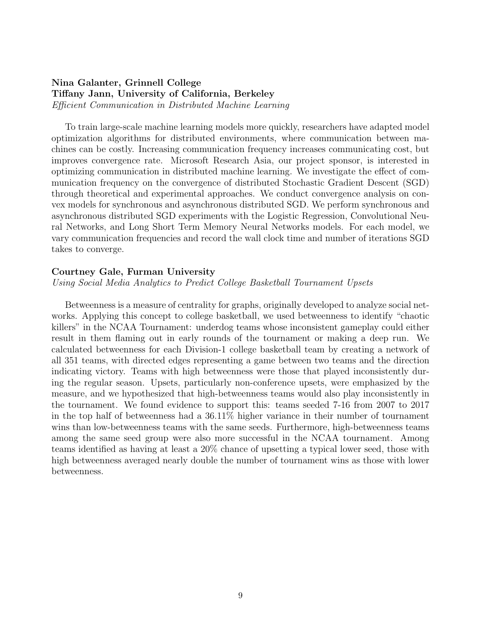#### Nina Galanter, Grinnell College Tiffany Jann, University of California, Berkeley Efficient Communication in Distributed Machine Learning

To train large-scale machine learning models more quickly, researchers have adapted model optimization algorithms for distributed environments, where communication between machines can be costly. Increasing communication frequency increases communicating cost, but improves convergence rate. Microsoft Research Asia, our project sponsor, is interested in optimizing communication in distributed machine learning. We investigate the effect of communication frequency on the convergence of distributed Stochastic Gradient Descent (SGD) through theoretical and experimental approaches. We conduct convergence analysis on convex models for synchronous and asynchronous distributed SGD. We perform synchronous and asynchronous distributed SGD experiments with the Logistic Regression, Convolutional Neural Networks, and Long Short Term Memory Neural Networks models. For each model, we vary communication frequencies and record the wall clock time and number of iterations SGD takes to converge.

#### Courtney Gale, Furman University

Using Social Media Analytics to Predict College Basketball Tournament Upsets

Betweenness is a measure of centrality for graphs, originally developed to analyze social networks. Applying this concept to college basketball, we used betweenness to identify "chaotic killers" in the NCAA Tournament: underdog teams whose inconsistent gameplay could either result in them flaming out in early rounds of the tournament or making a deep run. We calculated betweenness for each Division-1 college basketball team by creating a network of all 351 teams, with directed edges representing a game between two teams and the direction indicating victory. Teams with high betweenness were those that played inconsistently during the regular season. Upsets, particularly non-conference upsets, were emphasized by the measure, and we hypothesized that high-betweenness teams would also play inconsistently in the tournament. We found evidence to support this: teams seeded 7-16 from 2007 to 2017 in the top half of betweenness had a 36.11% higher variance in their number of tournament wins than low-betweenness teams with the same seeds. Furthermore, high-betweenness teams among the same seed group were also more successful in the NCAA tournament. Among teams identified as having at least a 20% chance of upsetting a typical lower seed, those with high betweenness averaged nearly double the number of tournament wins as those with lower betweenness.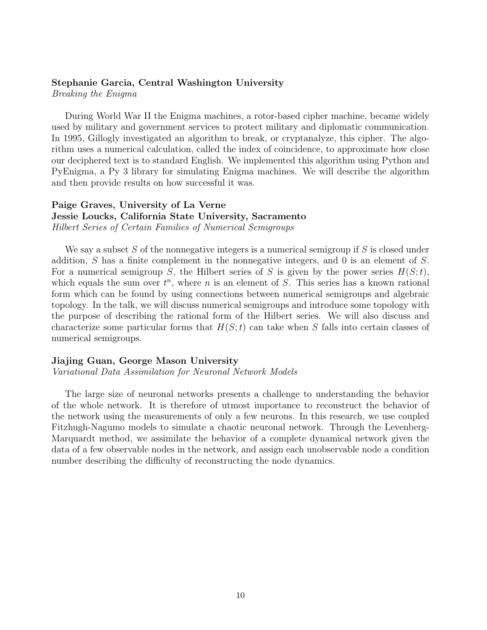#### Stephanie Garcia, Central Washington University

Breaking the Enigma

During World War II the Enigma machines, a rotor-based cipher machine, became widely used by military and government services to protect military and diplomatic communication. In 1995, Gillogly investigated an algorithm to break, or cryptanalyze, this cipher. The algorithm uses a numerical calculation, called the index of coincidence, to approximate how close our deciphered text is to standard English. We implemented this algorithm using Python and PyEnigma, a Py 3 library for simulating Enigma machines. We will describe the algorithm and then provide results on how successful it was.

#### Paige Graves, University of La Verne Jessie Loucks, California State University, Sacramento Hilbert Series of Certain Families of Numerical Semigroups

We say a subset S of the nonnegative integers is a numerical semigroup if S is closed under addition, S has a finite complement in the nonnegative integers, and 0 is an element of S. For a numerical semigroup S, the Hilbert series of S is given by the power series  $H(S; t)$ , which equals the sum over  $t^n$ , where n is an element of S. This series has a known rational form which can be found by using connections between numerical semigroups and algebraic topology. In the talk, we will discuss numerical semigroups and introduce some topology with the purpose of describing the rational form of the Hilbert series. We will also discuss and characterize some particular forms that  $H(S; t)$  can take when S falls into certain classes of numerical semigroups.

#### Jiajing Guan, George Mason University

Variational Data Assimilation for Neuronal Network Models

The large size of neuronal networks presents a challenge to understanding the behavior of the whole network. It is therefore of utmost importance to reconstruct the behavior of the network using the measurements of only a few neurons. In this research, we use coupled Fitzhugh-Nagumo models to simulate a chaotic neuronal network. Through the Levenberg-Marquardt method, we assimilate the behavior of a complete dynamical network given the data of a few observable nodes in the network, and assign each unobservable node a condition number describing the difficulty of reconstructing the node dynamics.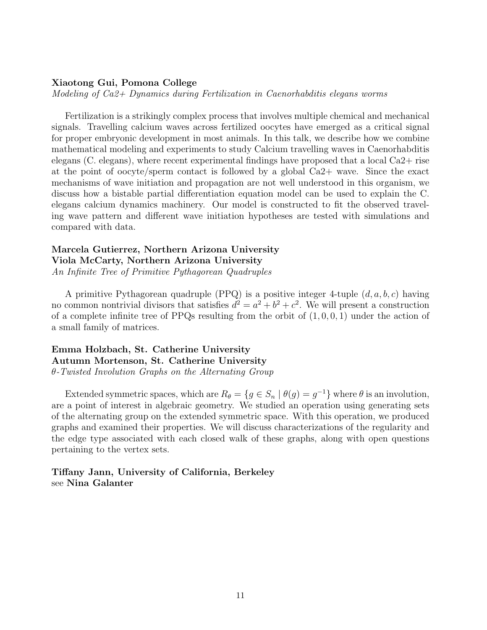#### Xiaotong Gui, Pomona College

Modeling of Ca2+ Dynamics during Fertilization in Caenorhabditis elegans worms

Fertilization is a strikingly complex process that involves multiple chemical and mechanical signals. Travelling calcium waves across fertilized oocytes have emerged as a critical signal for proper embryonic development in most animals. In this talk, we describe how we combine mathematical modeling and experiments to study Calcium travelling waves in Caenorhabditis elegans (C. elegans), where recent experimental findings have proposed that a local Ca2+ rise at the point of oocyte/sperm contact is followed by a global Ca2+ wave. Since the exact mechanisms of wave initiation and propagation are not well understood in this organism, we discuss how a bistable partial differentiation equation model can be used to explain the C. elegans calcium dynamics machinery. Our model is constructed to fit the observed traveling wave pattern and different wave initiation hypotheses are tested with simulations and compared with data.

#### Marcela Gutierrez, Northern Arizona University

Viola McCarty, Northern Arizona University An Infinite Tree of Primitive Pythagorean Quadruples

A primitive Pythagorean quadruple (PPQ) is a positive integer 4-tuple  $(d, a, b, c)$  having no common nontrivial divisors that satisfies  $d^2 = a^2 + b^2 + c^2$ . We will present a construction of a complete infinite tree of PPQs resulting from the orbit of  $(1, 0, 0, 1)$  under the action of a small family of matrices.

#### Emma Holzbach, St. Catherine University Autumn Mortenson, St. Catherine University θ-Twisted Involution Graphs on the Alternating Group

Extended symmetric spaces, which are  $R_{\theta} = \{g \in S_n \mid \theta(g) = g^{-1}\}\$  where  $\theta$  is an involution, are a point of interest in algebraic geometry. We studied an operation using generating sets of the alternating group on the extended symmetric space. With this operation, we produced graphs and examined their properties. We will discuss characterizations of the regularity and the edge type associated with each closed walk of these graphs, along with open questions pertaining to the vertex sets.

#### Tiffany Jann, University of California, Berkeley see Nina Galanter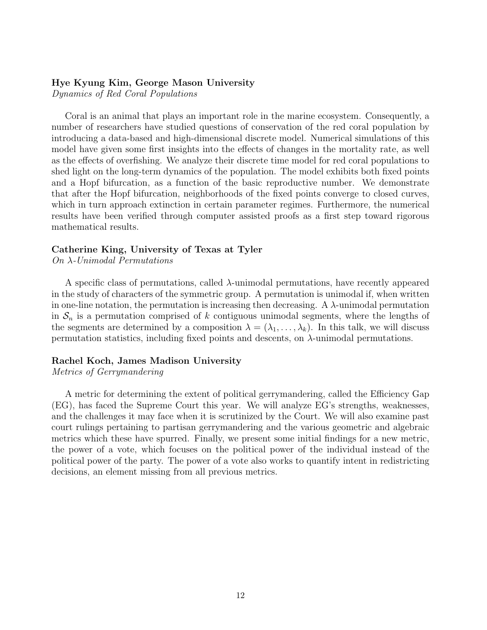#### Hye Kyung Kim, George Mason University

Dynamics of Red Coral Populations

Coral is an animal that plays an important role in the marine ecosystem. Consequently, a number of researchers have studied questions of conservation of the red coral population by introducing a data-based and high-dimensional discrete model. Numerical simulations of this model have given some first insights into the effects of changes in the mortality rate, as well as the effects of overfishing. We analyze their discrete time model for red coral populations to shed light on the long-term dynamics of the population. The model exhibits both fixed points and a Hopf bifurcation, as a function of the basic reproductive number. We demonstrate that after the Hopf bifurcation, neighborhoods of the fixed points converge to closed curves, which in turn approach extinction in certain parameter regimes. Furthermore, the numerical results have been verified through computer assisted proofs as a first step toward rigorous mathematical results.

#### Catherine King, University of Texas at Tyler

On λ-Unimodal Permutations

A specific class of permutations, called  $\lambda$ -unimodal permutations, have recently appeared in the study of characters of the symmetric group. A permutation is unimodal if, when written in one-line notation, the permutation is increasing then decreasing. A  $\lambda$ -unimodal permutation in  $S_n$  is a permutation comprised of k contiguous unimodal segments, where the lengths of the segments are determined by a composition  $\lambda = (\lambda_1, \ldots, \lambda_k)$ . In this talk, we will discuss permutation statistics, including fixed points and descents, on λ-unimodal permutations.

#### Rachel Koch, James Madison University

Metrics of Gerrymandering

A metric for determining the extent of political gerrymandering, called the Efficiency Gap (EG), has faced the Supreme Court this year. We will analyze EG's strengths, weaknesses, and the challenges it may face when it is scrutinized by the Court. We will also examine past court rulings pertaining to partisan gerrymandering and the various geometric and algebraic metrics which these have spurred. Finally, we present some initial findings for a new metric, the power of a vote, which focuses on the political power of the individual instead of the political power of the party. The power of a vote also works to quantify intent in redistricting decisions, an element missing from all previous metrics.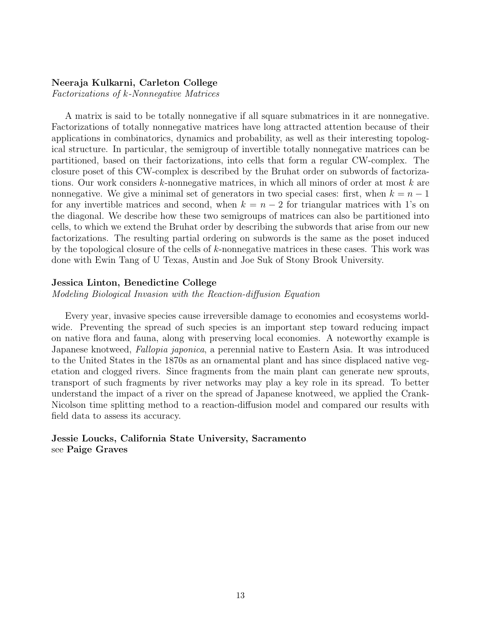#### Neeraja Kulkarni, Carleton College

Factorizations of k-Nonnegative Matrices

A matrix is said to be totally nonnegative if all square submatrices in it are nonnegative. Factorizations of totally nonnegative matrices have long attracted attention because of their applications in combinatorics, dynamics and probability, as well as their interesting topological structure. In particular, the semigroup of invertible totally nonnegative matrices can be partitioned, based on their factorizations, into cells that form a regular CW-complex. The closure poset of this CW-complex is described by the Bruhat order on subwords of factorizations. Our work considers  $k$ -nonnegative matrices, in which all minors of order at most  $k$  are nonnegative. We give a minimal set of generators in two special cases: first, when  $k = n - 1$ for any invertible matrices and second, when  $k = n - 2$  for triangular matrices with 1's on the diagonal. We describe how these two semigroups of matrices can also be partitioned into cells, to which we extend the Bruhat order by describing the subwords that arise from our new factorizations. The resulting partial ordering on subwords is the same as the poset induced by the topological closure of the cells of  $k$ -nonnegative matrices in these cases. This work was done with Ewin Tang of U Texas, Austin and Joe Suk of Stony Brook University.

#### Jessica Linton, Benedictine College

Modeling Biological Invasion with the Reaction-diffusion Equation

Every year, invasive species cause irreversible damage to economies and ecosystems worldwide. Preventing the spread of such species is an important step toward reducing impact on native flora and fauna, along with preserving local economies. A noteworthy example is Japanese knotweed, Fallopia japonica, a perennial native to Eastern Asia. It was introduced to the United States in the 1870s as an ornamental plant and has since displaced native vegetation and clogged rivers. Since fragments from the main plant can generate new sprouts, transport of such fragments by river networks may play a key role in its spread. To better understand the impact of a river on the spread of Japanese knotweed, we applied the Crank-Nicolson time splitting method to a reaction-diffusion model and compared our results with field data to assess its accuracy.

#### Jessie Loucks, California State University, Sacramento see Paige Graves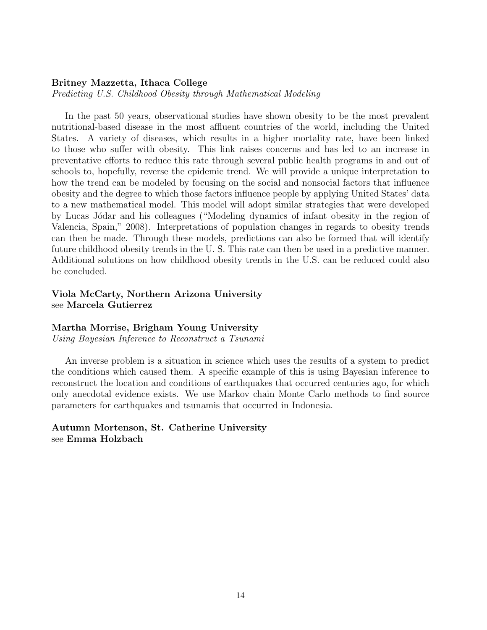#### Britney Mazzetta, Ithaca College

Predicting U.S. Childhood Obesity through Mathematical Modeling

In the past 50 years, observational studies have shown obesity to be the most prevalent nutritional-based disease in the most affluent countries of the world, including the United States. A variety of diseases, which results in a higher mortality rate, have been linked to those who suffer with obesity. This link raises concerns and has led to an increase in preventative efforts to reduce this rate through several public health programs in and out of schools to, hopefully, reverse the epidemic trend. We will provide a unique interpretation to how the trend can be modeled by focusing on the social and nonsocial factors that influence obesity and the degree to which those factors influence people by applying United States' data to a new mathematical model. This model will adopt similar strategies that were developed by Lucas Jódar and his colleagues ("Modeling dynamics of infant obesity in the region of Valencia, Spain," 2008). Interpretations of population changes in regards to obesity trends can then be made. Through these models, predictions can also be formed that will identify future childhood obesity trends in the U. S. This rate can then be used in a predictive manner. Additional solutions on how childhood obesity trends in the U.S. can be reduced could also be concluded.

#### Viola McCarty, Northern Arizona University see Marcela Gutierrez

#### Martha Morrise, Brigham Young University

Using Bayesian Inference to Reconstruct a Tsunami

An inverse problem is a situation in science which uses the results of a system to predict the conditions which caused them. A specific example of this is using Bayesian inference to reconstruct the location and conditions of earthquakes that occurred centuries ago, for which only anecdotal evidence exists. We use Markov chain Monte Carlo methods to find source parameters for earthquakes and tsunamis that occurred in Indonesia.

#### Autumn Mortenson, St. Catherine University see Emma Holzbach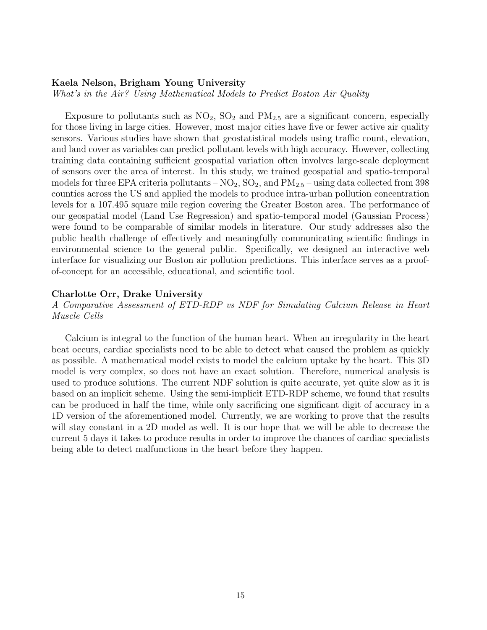#### Kaela Nelson, Brigham Young University

What's in the Air? Using Mathematical Models to Predict Boston Air Quality

Exposure to pollutants such as  $NO_2$ ,  $SO_2$  and  $PM_{2.5}$  are a significant concern, especially for those living in large cities. However, most major cities have five or fewer active air quality sensors. Various studies have shown that geostatistical models using traffic count, elevation, and land cover as variables can predict pollutant levels with high accuracy. However, collecting training data containing sufficient geospatial variation often involves large-scale deployment of sensors over the area of interest. In this study, we trained geospatial and spatio-temporal models for three EPA criteria pollutants –  $NO_2$ ,  $SO_2$ , and  $PM_{2.5}$  – using data collected from 398 counties across the US and applied the models to produce intra-urban pollution concentration levels for a 107.495 square mile region covering the Greater Boston area. The performance of our geospatial model (Land Use Regression) and spatio-temporal model (Gaussian Process) were found to be comparable of similar models in literature. Our study addresses also the public health challenge of effectively and meaningfully communicating scientific findings in environmental science to the general public. Specifically, we designed an interactive web interface for visualizing our Boston air pollution predictions. This interface serves as a proofof-concept for an accessible, educational, and scientific tool.

#### Charlotte Orr, Drake University

A Comparative Assessment of ETD-RDP vs NDF for Simulating Calcium Release in Heart Muscle Cells

Calcium is integral to the function of the human heart. When an irregularity in the heart beat occurs, cardiac specialists need to be able to detect what caused the problem as quickly as possible. A mathematical model exists to model the calcium uptake by the heart. This 3D model is very complex, so does not have an exact solution. Therefore, numerical analysis is used to produce solutions. The current NDF solution is quite accurate, yet quite slow as it is based on an implicit scheme. Using the semi-implicit ETD-RDP scheme, we found that results can be produced in half the time, while only sacrificing one significant digit of accuracy in a 1D version of the aforementioned model. Currently, we are working to prove that the results will stay constant in a 2D model as well. It is our hope that we will be able to decrease the current 5 days it takes to produce results in order to improve the chances of cardiac specialists being able to detect malfunctions in the heart before they happen.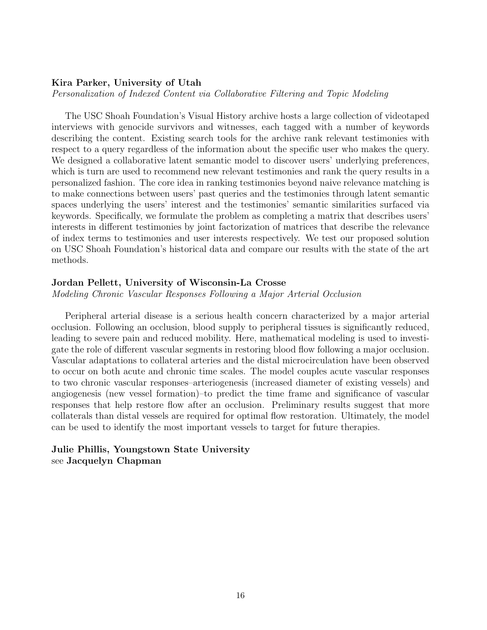#### Kira Parker, University of Utah

Personalization of Indexed Content via Collaborative Filtering and Topic Modeling

The USC Shoah Foundation's Visual History archive hosts a large collection of videotaped interviews with genocide survivors and witnesses, each tagged with a number of keywords describing the content. Existing search tools for the archive rank relevant testimonies with respect to a query regardless of the information about the specific user who makes the query. We designed a collaborative latent semantic model to discover users' underlying preferences, which is turn are used to recommend new relevant testimonies and rank the query results in a personalized fashion. The core idea in ranking testimonies beyond naive relevance matching is to make connections between users' past queries and the testimonies through latent semantic spaces underlying the users' interest and the testimonies' semantic similarities surfaced via keywords. Specifically, we formulate the problem as completing a matrix that describes users' interests in different testimonies by joint factorization of matrices that describe the relevance of index terms to testimonies and user interests respectively. We test our proposed solution on USC Shoah Foundation's historical data and compare our results with the state of the art methods.

#### Jordan Pellett, University of Wisconsin-La Crosse

Modeling Chronic Vascular Responses Following a Major Arterial Occlusion

Peripheral arterial disease is a serious health concern characterized by a major arterial occlusion. Following an occlusion, blood supply to peripheral tissues is significantly reduced, leading to severe pain and reduced mobility. Here, mathematical modeling is used to investigate the role of different vascular segments in restoring blood flow following a major occlusion. Vascular adaptations to collateral arteries and the distal microcirculation have been observed to occur on both acute and chronic time scales. The model couples acute vascular responses to two chronic vascular responses–arteriogenesis (increased diameter of existing vessels) and angiogenesis (new vessel formation)–to predict the time frame and significance of vascular responses that help restore flow after an occlusion. Preliminary results suggest that more collaterals than distal vessels are required for optimal flow restoration. Ultimately, the model can be used to identify the most important vessels to target for future therapies.

#### Julie Phillis, Youngstown State University see Jacquelyn Chapman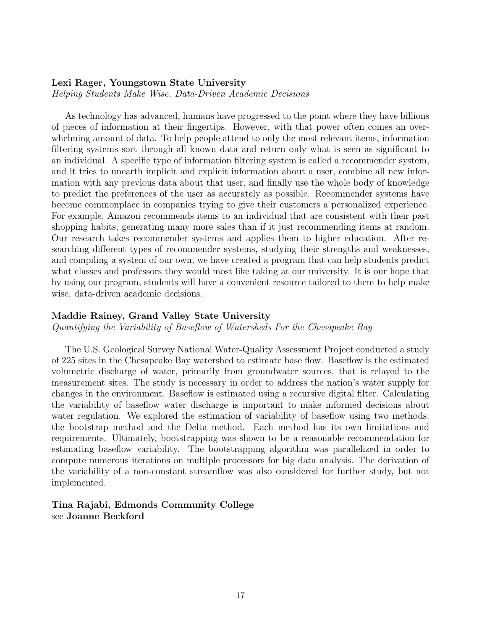#### Lexi Rager, Youngstown State University

Helping Students Make Wise, Data-Driven Academic Decisions

As technology has advanced, humans have progressed to the point where they have billions of pieces of information at their fingertips. However, with that power often comes an overwhelming amount of data. To help people attend to only the most relevant items, information filtering systems sort through all known data and return only what is seen as significant to an individual. A specific type of information filtering system is called a recommender system, and it tries to unearth implicit and explicit information about a user, combine all new information with any previous data about that user, and finally use the whole body of knowledge to predict the preferences of the user as accurately as possible. Recommender systems have become commonplace in companies trying to give their customers a personalized experience. For example, Amazon recommends items to an individual that are consistent with their past shopping habits, generating many more sales than if it just recommending items at random. Our research takes recommender systems and applies them to higher education. After researching different types of recommender systems, studying their strengths and weaknesses, and compiling a system of our own, we have created a program that can help students predict what classes and professors they would most like taking at our university. It is our hope that by using our program, students will have a convenient resource tailored to them to help make wise, data-driven academic decisions.

#### Maddie Rainey, Grand Valley State University

Quantifying the Variability of Baseflow of Watersheds For the Chesapeake Bay

The U.S. Geological Survey National Water-Quality Assessment Project conducted a study of 225 sites in the Chesapeake Bay watershed to estimate base flow. Baseflow is the estimated volumetric discharge of water, primarily from groundwater sources, that is relayed to the measurement sites. The study is necessary in order to address the nation's water supply for changes in the environment. Baseflow is estimated using a recursive digital filter. Calculating the variability of baseflow water discharge is important to make informed decisions about water regulation. We explored the estimation of variability of baseflow using two methods: the bootstrap method and the Delta method. Each method has its own limitations and requirements. Ultimately, bootstrapping was shown to be a reasonable recommendation for estimating baseflow variability. The bootstrapping algorithm was parallelized in order to compute numerous iterations on multiple processors for big data analysis. The derivation of the variability of a non-constant streamflow was also considered for further study, but not implemented.

#### Tina Rajabi, Edmonds Community College see Joanne Beckford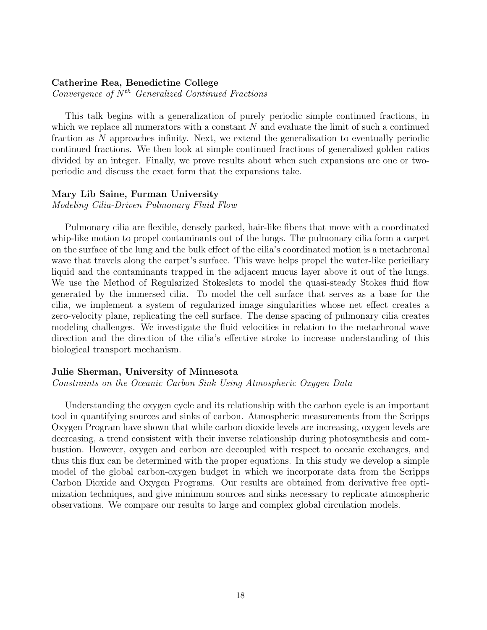#### Catherine Rea, Benedictine College

Convergence of  $N^{th}$  Generalized Continued Fractions

This talk begins with a generalization of purely periodic simple continued fractions, in which we replace all numerators with a constant  $N$  and evaluate the limit of such a continued fraction as N approaches infinity. Next, we extend the generalization to eventually periodic continued fractions. We then look at simple continued fractions of generalized golden ratios divided by an integer. Finally, we prove results about when such expansions are one or twoperiodic and discuss the exact form that the expansions take.

#### Mary Lib Saine, Furman University

Modeling Cilia-Driven Pulmonary Fluid Flow

Pulmonary cilia are flexible, densely packed, hair-like fibers that move with a coordinated whip-like motion to propel contaminants out of the lungs. The pulmonary cilia form a carpet on the surface of the lung and the bulk effect of the cilia's coordinated motion is a metachronal wave that travels along the carpet's surface. This wave helps propel the water-like periciliary liquid and the contaminants trapped in the adjacent mucus layer above it out of the lungs. We use the Method of Regularized Stokeslets to model the quasi-steady Stokes fluid flow generated by the immersed cilia. To model the cell surface that serves as a base for the cilia, we implement a system of regularized image singularities whose net effect creates a zero-velocity plane, replicating the cell surface. The dense spacing of pulmonary cilia creates modeling challenges. We investigate the fluid velocities in relation to the metachronal wave direction and the direction of the cilia's effective stroke to increase understanding of this biological transport mechanism.

#### Julie Sherman, University of Minnesota

Constraints on the Oceanic Carbon Sink Using Atmospheric Oxygen Data

Understanding the oxygen cycle and its relationship with the carbon cycle is an important tool in quantifying sources and sinks of carbon. Atmospheric measurements from the Scripps Oxygen Program have shown that while carbon dioxide levels are increasing, oxygen levels are decreasing, a trend consistent with their inverse relationship during photosynthesis and combustion. However, oxygen and carbon are decoupled with respect to oceanic exchanges, and thus this flux can be determined with the proper equations. In this study we develop a simple model of the global carbon-oxygen budget in which we incorporate data from the Scripps Carbon Dioxide and Oxygen Programs. Our results are obtained from derivative free optimization techniques, and give minimum sources and sinks necessary to replicate atmospheric observations. We compare our results to large and complex global circulation models.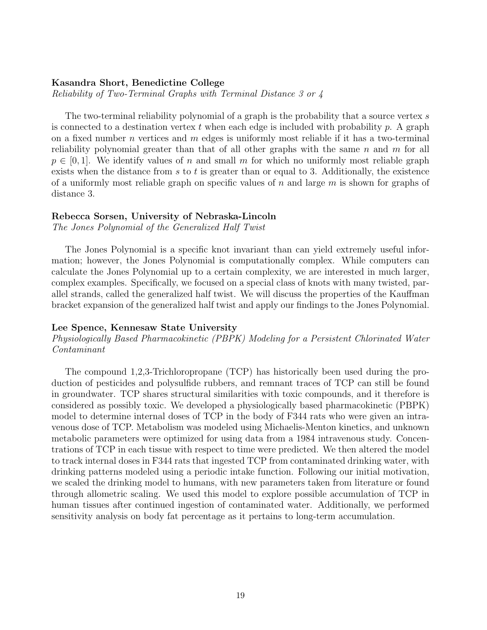#### Kasandra Short, Benedictine College

Reliability of Two-Terminal Graphs with Terminal Distance 3 or 4

The two-terminal reliability polynomial of a graph is the probability that a source vertex s is connected to a destination vertex t when each edge is included with probability  $p$ . A graph on a fixed number *n* vertices and *m* edges is uniformly most reliable if it has a two-terminal reliability polynomial greater than that of all other graphs with the same  $n$  and  $m$  for all  $p \in [0, 1]$ . We identify values of n and small m for which no uniformly most reliable graph exists when the distance from  $s$  to  $t$  is greater than or equal to 3. Additionally, the existence of a uniformly most reliable graph on specific values of n and large  $m$  is shown for graphs of distance 3.

#### Rebecca Sorsen, University of Nebraska-Lincoln

The Jones Polynomial of the Generalized Half Twist

The Jones Polynomial is a specific knot invariant than can yield extremely useful information; however, the Jones Polynomial is computationally complex. While computers can calculate the Jones Polynomial up to a certain complexity, we are interested in much larger, complex examples. Specifically, we focused on a special class of knots with many twisted, parallel strands, called the generalized half twist. We will discuss the properties of the Kauffman bracket expansion of the generalized half twist and apply our findings to the Jones Polynomial.

#### Lee Spence, Kennesaw State University

#### Physiologically Based Pharmacokinetic (PBPK) Modeling for a Persistent Chlorinated Water Contaminant

The compound 1,2,3-Trichloropropane (TCP) has historically been used during the production of pesticides and polysulfide rubbers, and remnant traces of TCP can still be found in groundwater. TCP shares structural similarities with toxic compounds, and it therefore is considered as possibly toxic. We developed a physiologically based pharmacokinetic (PBPK) model to determine internal doses of TCP in the body of F344 rats who were given an intravenous dose of TCP. Metabolism was modeled using Michaelis-Menton kinetics, and unknown metabolic parameters were optimized for using data from a 1984 intravenous study. Concentrations of TCP in each tissue with respect to time were predicted. We then altered the model to track internal doses in F344 rats that ingested TCP from contaminated drinking water, with drinking patterns modeled using a periodic intake function. Following our initial motivation, we scaled the drinking model to humans, with new parameters taken from literature or found through allometric scaling. We used this model to explore possible accumulation of TCP in human tissues after continued ingestion of contaminated water. Additionally, we performed sensitivity analysis on body fat percentage as it pertains to long-term accumulation.